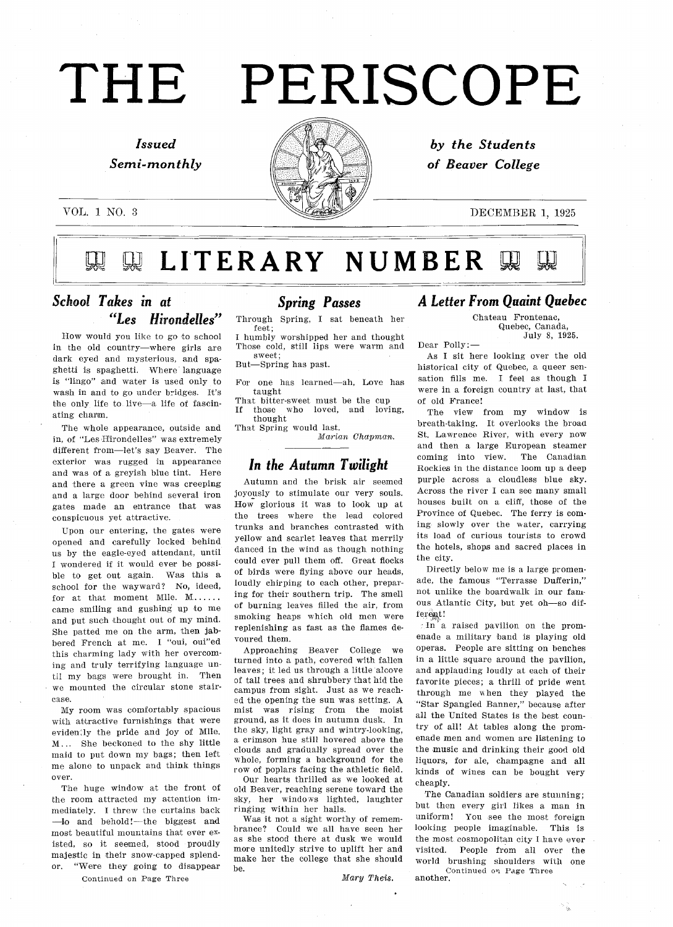# THE PERISCOPE

# Issued Semi-monthly

VOL. 1 NO. 3



by the Students of Beaver College

### DECEMBER 1, 1925

LITERARY NUMBER

# School Takes in at "Les Hirondelles"

How would you like to go to school in the old country-where girls are dark eyed and mysterious, and spaghetti is spaghetti. Where language is "lingo" and water is used only to wash in and to go under bridges. It's the only life to live-a life of fascinating charm.

The whole appearance, outside and in, of "Les-Hirondelles" was extremely different from-let's say Beaver. The exterior was rugged in appearance and was of a greyish blue tint. Here and there a green vine was creeping and a large door behind several iron gates made an entrance that was conspicuous yet attractive

Upon our entering, the gates were opened and carefully locked behind us by the eagle-eyed attendant, until wondered if it would ever be possi ble to get out again. Was this a school for the wayward? No, ideed, for at that moment Mile. M...... came smiling and gushing up to me and put such thought out of my mind She patted me on the arm, then jabbered French at me. I "oui, oui"ed this charming lady with her overcom ing and truly terrifying language un til my bags were brought in. Then we mounted the circular stone stair case

My room was comfortably spacious with attractive furnishings that were evidently the pride and joy of Mile. M.. She beckoned to the shy little maid to put down my bags; then left me alone to unpack and think things over

The huge window at the front of the room attracted my attention im mediately. I threw the curtains back -lo and behold!--the biggest and most beautiful mountains that ever ex isted, so it seemed, stood proudly majestic in their snow-capped splend or. "Were they going to disappear

Continued on Page Three

#### Spring Passes

Through Spring, I sat beneath her feet humbly worshipped her and thought

Those cold, still lips were warm and sweet

But-Spring has past.

For one has learned-ah, Love has taught That bitter-sweet must be the cup

If those who loved, and loving, thought

That Spring would last

Marian Chapman

# In the Autumn Twilight

Autumn and the brisk air seemed joyously to stimulate our very souls. How glorious it was to look up at the trees where the lead colored trunks and branches contrasted with yellow and scarlet leaves that merrily danced in the wind as though nothing could ever pull them off. Great flocks of birds were flying above our heads loudly chirping to each other, preparing for their southern trip. The smell of burning leaves filled the air, from smoking heaps which old men were replenishing as fast as the flames de voured them

Approaching Beaver College we turned into a path, covered with fallen leaves; it led us through a little alcove of tall trees and shrubbery that hid the campus from sight. Just as we reached the opening the sun was setting. A mist was rising from the moist ground, as it does in autumn dusk. In the sky, light gray and wintry-looking, a crimson hue still hovered above the clouds and gradually spread over the whole, forming a background for the row of poplars facing the athletic field

Our hearts thrilled as we looked at old Beaver, reaching serene toward the sky, her windows lighted, laughter ringing within her halls

Was it not a sight worthy of remembrance? Could we all have seen her as she stood there at dusk we would more unitedly strive to uplift her and make her the college that she should be

#### Letter From Quaint Quebec

Chateau Frontenac Quebec, Canada July 8, 1925.

Dear Polly As I sit here looking over the old historical city of Quebec, a queer sen-

sation fills me. I feel as though I were in a foreign country at last, that of old France The view from my window is

breath-taking. It overlooks the broad St. Lawrence River, with every now and then a large European steamer coming into view. The Canadian Rockies in the distance loom up a deep purple across a cloudless blue sky. Across the river I can see many small houses built on a cliff, those of the Province of Quebec. The ferry is coming slowly over the water, carrying its load of curious tourists to crowd the hotels, shops and sacred places in the city

Directly below me is a large promenade, the famous "Terrasse Dufferin," not unlike the boardwalk in our fani ous Atlantic City, but yet oh-so different!

 $\ln$  a raised pavilion on the promenade military band is playing old operas. People are sitting on benches in a little square around the pavilion, and applauding loudly at each of their favorite pieces; a thrill of pride went through me when they played the "Star Spangled Banner," because after all the United States is the best coun try of all! At tables along the promenade men and women are listening to the music and drinking their good old liquors, for ale, champagne and all kinds of wines can be bought very cheaply

The Canadian soldiers are stunning; but then every girl likes a man in uniform! You see the most foreign looking people imaginable. This is the most cosmopolitan city I have ever visited. People from all over the world brushing shoulders with one Continued on Page Three<br>another.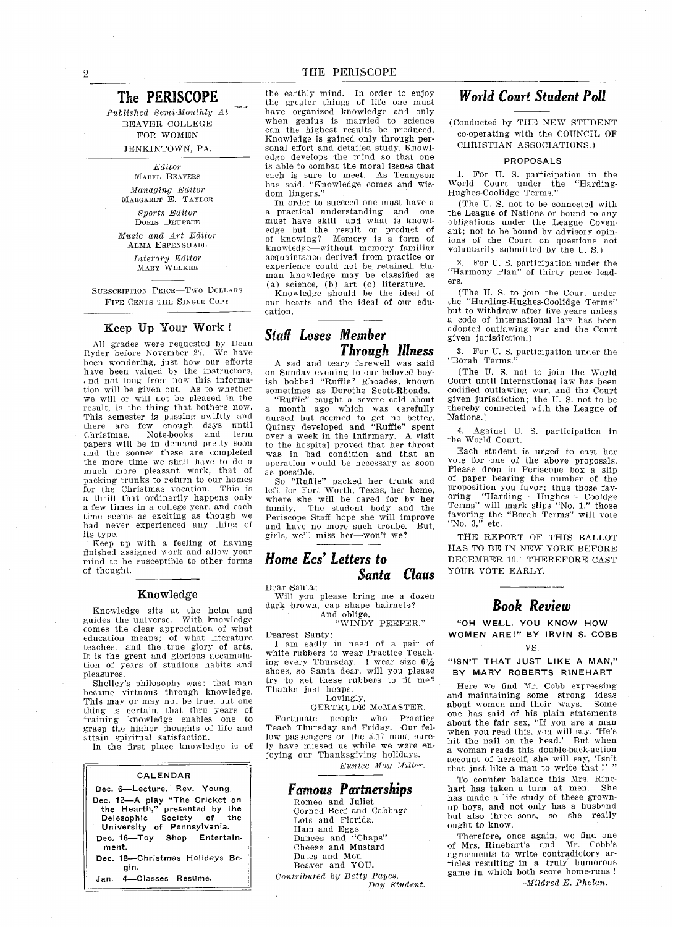#### The PERISCOPE

Published Semi-Monthly At BEAVER COLLEGE FOR WOMEN JENKINTOWN, PA.

#### Editor

MABEL BEAVERS Managing Editor MARGARET E. TAYLOR

Sports Editor DORIS DEuPREE Music and Art Editor ALMA ESPENSHADE

Literary Edito<br>MARY WELKER

SUBSCRIPTION PRICE-Two DOLLARS FIVE CENTS THE SINGLE COPY

#### Keep Up Your Work

All grades ware requested by Dean Ryder before November 27. We have been wondering, just how our efforts have been valued by the instructors, and not long from now this information will be given out As to whether we will or will not be pleased in tbe result, is the thing that bothers now. This semester is passing swiftly and there are few enough days unti Christmas Note-books and term papers will be in demand pretty soon and the sooner these are complete the more time we shall have to do much more pleasant work, that of packing trunks to return to our homes for the Christmas vacation. This is thrill that ordinarily happens only a few times in a college year, and each time seems as exciting as though we had never experienced any thing of its type

Keep up with a feeling of having finished assigned work and allow your mind to be susceptible to other forms of thought

#### Knowledge

Knowledge sits at the helm and guides the universe. With knowledge comes the clear appreciation of what education means; of what literature<br>teaches; and the true glory of arts It is the great and glorious accumulation of years of studions habits and pleasures

Shelley's philosophy was: that man became virtuous through knowledge. This may or may not be true, but one thing is certain, that thru years of training knowledge enables one to grasp the higher thoughts of life and attain spiritual satisfaction

In the first place knowledge is of

#### CALENDAR

| Dec 6—Lecture, Rev. Young.              |
|-----------------------------------------|
| Dec. 12-A play "The Cricket on          |
| the Hearth," presented by the           |
| Delesophic Society of the               |
| University of Pennsylvania.             |
| Dec. 16-Toy Shop Entertain-<br>ment.    |
| Dec. 18--Christmas Holidays Be-<br>ain. |
| Jan. 4-Classes Resume.                  |

the earthly mind. In order to enjoy the greater things of life one must have organized knowledge and only when genius is married to science can the highest results be produced. Knowledge is gained only through per sonal effort and detailed study. Knowledge develops the mind so that one is able to combat the moral issues that each is sure to meet. As Tennyson has said, "Knowledge comes and wis dom lingers."

In order to succeed one must have a a practical understanding and one<br>must have skill—and what is knowl edge but the result or product of of knowing? Memory is a form of knowledge-without memory familiar acquaintance derived from practice or experience could not be retained. Human knowledge may be classified as (a) science,  $(b)$  art (c) literature.

Knowledge should be the ideal of our hearts and the ideal of our edu cation

### Staff Loses Member Through Illness

A sad and teary farewell was said on Sunday evening to our beloved boy ish bobbed "Ruffie" Rhoades, known sometimes as Dorothe Scott-Rhoads.

"Ruffie" caught a severe cold about month ago which was carefully nursed but seemed to get no better<br>Quinsy developed and "Ruffie" spen over a week in the Infirmary. A visit to the hospital proved that her throat was in bad condition and that an operation would be necessary as soon as possible.<br> So "Ruffie" packed her trunk an

left for Fort Worth, Texas, her home where she will be cared for by her family The student body and the Periscope Staff hope she will improve and have no more such troube. But, girls, we'll miss her-won't we?

#### Home Ecs' Letters to Santa Claus

Dear Santa:

Will you please bring me a dozen dark brown, cap shape hairnets?

# And oblige WINDY PEEPER

Dearest Santy

I am sadly in need of a pair of white rubbers to wear Practice Teach ing every Thursday. I wear size  $6\frac{1}{2}$ shoes, so Santa dear, will you please try to get these rubbers to fit me2 Thanks just heaps.

#### Lovingly

GERTRUDE McMASTER Fortunate people who Practice Teach Thursday and Friday Our fel low passengers on the 5.17 must sure ly have missed us while we were en joying our Thanksgiving holidays Eunice May Miller.

#### Famous Partnerships

Romeo and Juliet Corned Beef and Cabbage Lots and Florida Ham and Eggs Dances and "Chaps" Cheese and Mustard Dates and Men Beaver and YOU Contributed by Eetty Payes Day Student

# World Court Student Poll

Conducted by TRE NEW STUDENT co-operating with the COUNCIL OF CHRISTIAN ASSOCIATIONS

#### PROPOSALS

For U. S. participation in the  $\mathbf{1}$ World Court under the "Harding-Hughes-Coolidge Terms

(The U.S. not to be connected with the League of Nations or bound to any obligations under the League Coven ant; not to be bound by advisory opinions of the Court on questions not voluntarily submitted by the U.S.)

2. For U.S. participation under the "Harmony Plan" of thirty peace leaders

(The U.S. to join the Court under the "Harding-Hughes-Coolidge Terms"<br>but to withdraw after five years unless a code of international law has been adopted outlawing war and the Court given jurisdiction.)

3. For U.S. participation under the "Borah Terms."

(The U.S. not to join the World Court until international law has been codified outlawing war, and the Court given jurisdiction; the U.S. not to be thereby connected with the League of Nations

Against U. S. participation in  $4.$ the World Court

Each student is urged to cast her vote for one of the above proposals Please drop in Periscope box a slip of paper bearing the number of the proposition you favor; thus those fav oring "Harding - Hughes - Cooldge<br>Terms" will mark slips "No. 1." those<br>favoring the "Borah Terms" will vot<br>"No. 3," etc.

THE REPORT OF THIS BALLOT HAS TO BE IN NEW YORK BEFORE DECEMBER 10. THEREFORE CAST YOUR VOTE EARLY.

#### Book Review

OH WELL YOU KNOW HOW WOMEN ARE!" BY IRVIN S. COBB VS

"ISN'T THAT JUST LIKE A MAN," BY MARY ROBERTS RINEHART

Here we find Mr. Cobb expressing and maintaining some strong ideas about women and their ways. one has said of his plain statements<br>about the fair sex, "If you are a man when you read this, you will say, 'He's hit the nail on the head.' But when woman reads this double-back-action account of herself, she will say, 'Isn't that just like a man to write that!'

To counter balance this Mrs. Rinehart has taken a turn at men. She has made a life study of these grownup boys, and not only has a husband<br>but also three sons, so she really but also three sons, so she ought to know

Therefore, once again, we find on<br>of Mrs. Rinehart's and Mr. Cobb' agreements to write contradictory ar ticles resulting in a truly humorous game in which both score home-runs  $-Mildred E$  Phelan.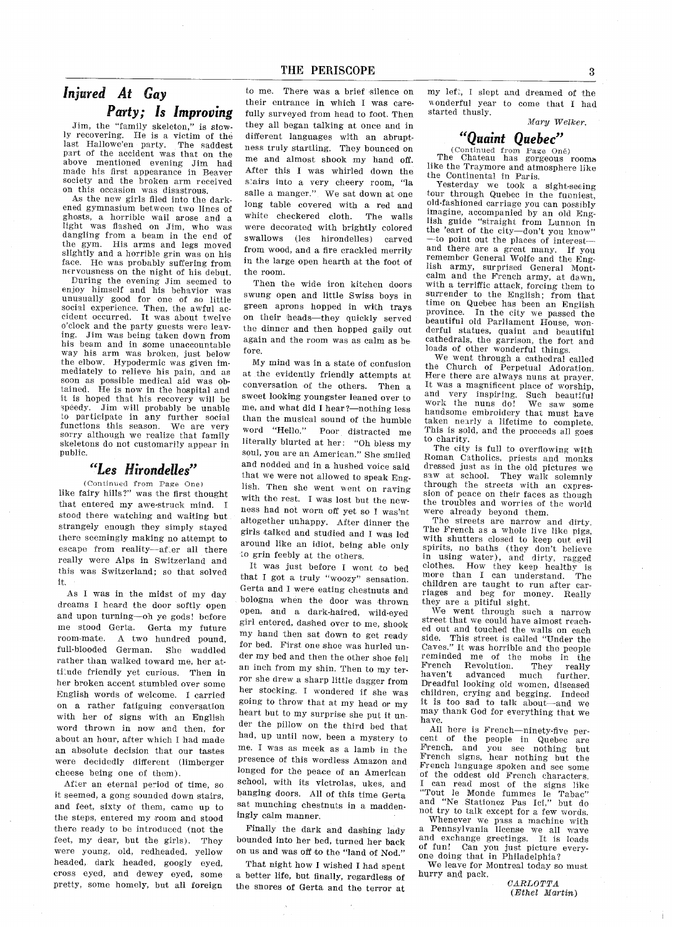# Injured At Gay Party; Is Improving

Jim, the "family skeleton," is slowly recovering. He is a victim of the last Hallowe'en party. The saddest part of the accident was that on the above mentioned evening Jim had made his first appearance in Beaver society and the broken arm received on this occasion was disastrous

As the new girls filed into the dark ened gymnasium between two lines of ghosts, a horrible wail arose and a light was flashed on Jim, who was dangling from a beam in the end of the gym. His arms and legs moved slightly and a horrible grin was on his face. He was probably suffering from nervousness on the night of his debut

During the evening Jim seemed to enjoy himself and his behavior was unusually good for one of so little social experience. Then, the awful accident occurred. It was about twelve o'clock and the party guests were leaving. Jim was being taken down from his beam and in some unaccountable way his arm was broken, just below the elbow. Hypodermic was given immediately to relieve his pain, and as soon as possible medical aid was ob tained. He is now in the hospital and it is hoped that his recovery will be<br>speedy. Jim will probably be unable Jim will probably be unable to participate in any further social functions this season. We are very sorry although we realize that family skeletons do not customarily appear in public

#### Les Hirondelles

Continued from Page One like fairy hills?" was the first thought that entered my awe-struck mind stood there watching and waiting but strangely enough they simply stayed there seemingly making no attempt to escape from reality-after all there really were Alps in Switzerland and this was Switzerland; so that solved it

As I was in the midst of my day dreams I heard the door softly open and upon turning-oh ye gods! before me stood Gerta Gerta my future room-mate. A two hundred pound, full-blooded German. She waddled rather than walked toward me, her attitude friendly yet curious. Then in her broken accent stumbled over some English words of welcome. I carried on a rather fatiguing conversation with her of signs with an English word thrown in now and then, for about an hour, after which I had made an absolute decision that our tastes were decidedly different (limberger cheese being one of them).

After an eternal period of time, so it seemed, a gong sounded down stairs. and feet, sixty of them, came up to the steps, entered my room and stood there ready to be introduced (not the feet, my dear, but the girls). They were young, old, redheaded, yellow headed, dark headed, googly eyed, cross eyed, and dewey eyed, some pretty, some homely, but all foreign

to me. There was a brief silence on their entrance in which I was carefully surveyed from head to foot. Then they all began talking at once and in different languages with an abrupt ness truly startling. They bounced on me and almost shook my hand off After this I was whirled down the stairs into a very cheery room, "la salle a manger." We sat down at one long table covered with a red and white checkered cloth. The walls were decorated with brightly colored swallows (les hirondelles) carved from wood, and a fire crackled merrily in the large open hearth at the foot of the room

Then the wide iron kitchen doors swung open and little Swiss boys in green aprons hopped in with trays on their heads—they quickly served the dinner and then hopped gaily out again and the room was as calm as be fore

My mind was in state of confusion at the evidently friendly attempts at conversation of the others. Then a sweet looking youngster leaned over to me, and what did I hear ?- nothing less than the musical sound of the humble word "Hello." Poor distracted me literally blurted at her: "Oh bless my soul, you are an American." She smiled and nodded and in a hushed voice said that we were not allowed to speak Eng lish. Then she went went on raving with the rest. I was lost but the newness had not worn off yet so I was'nt altogether unhappy. After dinner the girls talked and studied and I was led around like an idiot, being able only to grin feebly at the others

It was just before I went to bed that I got a truly "woozy" sensation. Gerta and I were eating chestnuts and bologna when the door was thrown open, and a dark-haired, wild-eyed girl entered, dashed over to me, shook my band then sat down to get ready for bed. First one shoe was hurled under my bed and then the other shoe fell an inch from my shin. Then to my terror she drew sharp little dagger from her stocking. I wondered if she was<br>going to throw that at my head or my heart but to my surprise she put it under the pillow on the third bed that had, up until now, been a mystery to me. I was as meek as a lamb in the presence of this wordless Amazon and longed for the peace of an American school, with its victrolas, ukes, and banging doors All of this time Gerta sat munching chestnuts in a maddeningly calm manner

Finally the dark and dashing lady bounded into her bed, turned her back on us and was off to the "land of Nod."

That night how I wished I had spent a better life, but finally, regardless of the snores of Gerta and the terror at my left, I slept and dreamed of the wonderful year to come that I had started thusly

Mary Welker.

## Quaint Quebec

(Continued from Page One)<br>The Chateau has gorgeous rooms like the Traymore and atmosphere like the Continental in Paris

Yesterday we took a sight-seeing tour through Quebec in the funniest, old-fashioned carriage you can possibly imagine, accompanied by an old Eng-<br>lish guide "straight from Lunnon in the 'eart of the city-don't you know"<br>-to point out the places of interestand there are a great many. If you remember General Wolfe and the Eng-<br>lish army, surprised General Montcalm and the French army, at dawn,<br>with a terriffic attack, forcing them to surrender to the English; from that time on Quebec has been an English province In the city we passed the beautiful old Parliament House, won-<br>derful statues, quaint and beautiful cathedrals, the garrison, the fort and loads of other wonderful things

We went through a cathedral called the Church of Perpetual Adoration Here there are always nuns at prayer It was a magnificent place of worship,<br>and very inspiring. Such beautiful work the nuns do! We saw some handsome embroidery that must have taken nearly a lifetime to complete. This is sold, and the proceeds all goes to charity

The city is full to overflowing with Roman Catholics, priests and monks dressed just as in the old pictures we saw at school. They walk solemnly through the streets with an expres sion of peace on their faces as though the troubles and worries of the world were already beyond them

The streets are narrow and dirty. The French as whole live like pigs with shutters closed to keep out evil spirits, no baths (they don't believe in using water), and dirty, ragge clothes. How they keep healthy is more than I can understand. The children are taught to run after car riages and beg for money. Really they are a pitiful sight.

We went through such a narrow street that we could have almost reach ed out and touched the walls on each side. This street is called "Under the<br>Caves." It was horrible and the people reminded me of the mobs in the French Revolution. They reall French Revolution. They really<br>haven't advanced much further. Dreadful looking old women, diseased children, crying and begging. Indeed it is too sad to talk about—and we may thank God for everything that we have

All here is French-ninety-five per-<br>cent of the people in Quebec are<br>French, and you see nothing but you see nothing but French signs, hear nothing but the French language spoken and see some of the oddest old French characters can read most of the signs like "Tout le Monde fummes le Tabac"<br>and "Ne Stationez Pas Ici," but do not try to talk except for a few words.

Whenever we pass machine with Pennsylvania license we all wave and exchange greetings It is loads of fun! Can you just picture every-<br>one doing that in Philadelphia?

We leave for Montreal today so must hurry and pack.

 $\mathit{CARTA}$ Ethel Martin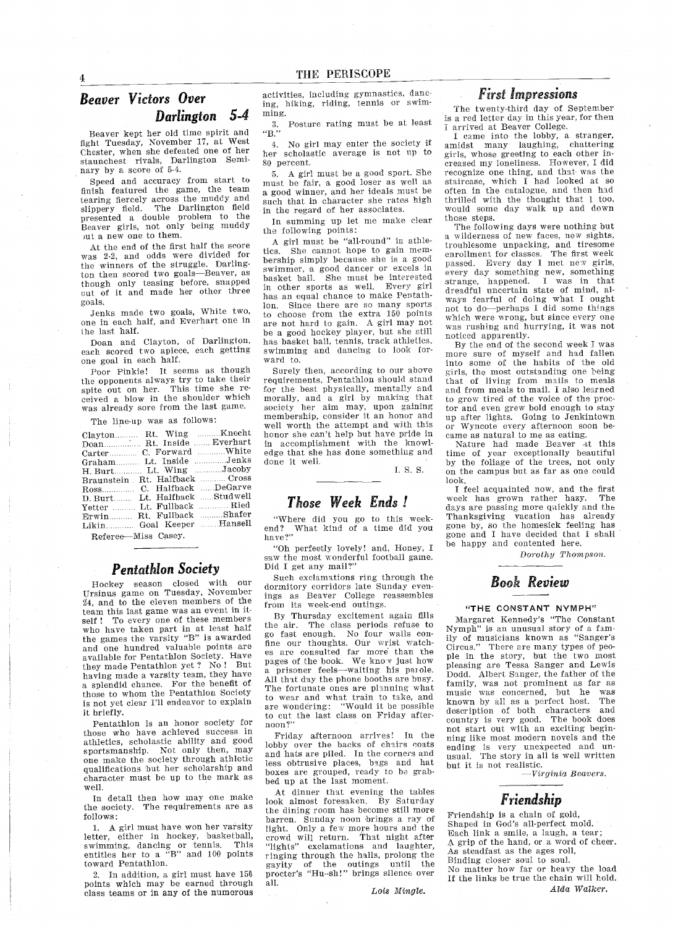# Beaver Victors Over Darlington 5-4

Beaver kept her old time spirit and fight Tuesday, November 17, at West Chester, when she defeated one of her staunchest rivals, Darlington Seminary by a score of 5-4.

Speed and accuracy from start to finish featured the game, the team tearing fiercely across the muddy and slippery field The Darlington field presented a double problem to the Beaver girls, not only being muddy jut a new one to them.

At the end of the first half the score was 2-2, and odds were divided for the winners of the struggle. Darlington then scored two goals-Beaver, as though only teasing before, snapped<br>cut of it and made her other three goals

Jenks made two goals, White two, one in each half, and Everhart one in the last half

Doan and Clayton, of Darlington, each scored two apiece, each getting one goal in each half

Poor Pinkie! It seems as though the opponents always try to take their spite out on her. This time she received a blow in the shoulder which was already sore from the last game

The line-up was as follows

| Clayton Rt. Wing Knecht        |  |
|--------------------------------|--|
| Doan Rt. Inside  Everhart      |  |
| Carter C. Forward White        |  |
| Graham Lt. Inside Jenks        |  |
| H. Burt Lt. Wing Jacoby        |  |
| Braunstein Rt. Halfback  Cross |  |
| Ross C. Halfback DeGarve       |  |
| D. Burt Lt. Halfback  Studwell |  |
| Yetter  Lt. Fullback  Ried     |  |
| Erwin Rt. Fullback Shafer      |  |
| Likin Goal Keeper  Hansell     |  |
|                                |  |

Referee-Miss Casey.

#### **Pentathion Society**

Hockey season closed with our Ursinus game on Tuesday, Novemb 24, and to the eleven members of the team this last game was an event in it self ! To every one of these members who have taken part in at least half the games the varsity "B" is awarded and one hundred valuable points are available for Pentathlon Society. Have they made Pentathlon yet ? No ! But having made a varsity team, they have a splendid chance. For the benefit of these to whom the Pentathlon Society is not yet clear I'll endeavor to explain it briefly

Peatathion is an honor society for those who have achieved success in athletics, scholastic ability and good sportsmanship. Not only then, may<br>one make the society through athletic qualifications but her scholarship and character must be up to the mark as well

In detail then how may one make the society. The requirements are as follows

1. A girl must have won her varsity letter, either in hockey, basketball, swimming, dancing or tennis. This entitles her to a "B" and 100 points<br>toward Pentathlon.

2. In addition, a girl must have  $150$ points which may be earned through class teams or in any of the numerous activities, including gymnastics, dancing, hiking, riding, tennis or swimming

Posture rating must be at least  $3.$  $"B."$ 

No girl may enter the society if her scholastic average is not lip to 80 percent

5. A girl must be a good sport. She must be fair, a good loser as well as a good winner, and her ideals must be such that in character she rates high in the regard of her associates

In summing up let me make clear the following points

A girl must be "all-round" in athletics. She cannot hope to gain membership simply because she is good swimmer, a good dancer or excels in basket ball. She must be interested in other sports as well. Every girl has an equal chance to make Peotath lon. Since there are so many sports to choose from the extra <sup>150</sup> points are not hard to gain. A girl may not be a good hockey player, but she still has basket ball, tennis, track athletics, swimming and dancing to look for ward to

Surely then, according to our above requirements, Pentathlon should stand for the best physically mentally and morally, and a girl by making that society her aim may, upon gaining membership, consider it an honor and well worth the attempt and with this honor she cant help but have pride in in accomplishment with the know edge that she has done something and done it well

I. S. S.

#### Those Week Ends

Where did you go to this week end? What kind of a time did you<br>have?''

"Oh perfectly lovely! and, Honey, I saw the most wonderful football game. Did I get any mail?"

Such exclamations ring through the dormitory corridors late Sunday evenings as Beaver College reassembles from its week-end outings

By Thursday excitement again fills<br>the air. The class periods refuse to The class periods refuse to go fast enough No four wails con fine our thoughts. Our wrist watches are consulted far more than the pages of the book. We know just how a prisoner feels-waiting his parole. All that day the phone booths are busy The fortunate ones are planning what to wear and what train to take, and<br>are wondering: "Would it be possible are wondering Would it be possible to cut the last class on Friday afternoon

Friday afternoon arrives! In the lobby over the backs of chairs coats and hats are piled. In the corners and less obtrusive places, bags and hat boxes are grouped, ready to be grabbed up at the last moment

At dinner that evening the tables look almost foresaken. By Saturday the dining room has become still more barren. Sunday noon brings a ray of light. Only a few more hours and the crowd will return. That night afte<br>"lights" exclamations and laughter ringing through the halls, prolong the gayity of the outings until the procter's "Hu-sh!" brings silence over all

Lois Mingle

#### First Impressions

The twenty-third day of September is a red letter day in this year, for then arrived at Beaver College

I came into the lobby, a stranger, amidst many laughing, chattering girls, whose greeting to each other increased my loneliness. However, I did recognize one thing, and that was the staircase, which I had looked at so often in the catalogue, and then had thrilled with the thought that  $1$  too, would some day walk up and down those steps.

The following days were nothing but a wilderness of new faces, new sights, troublesome unpacking, and tiresome enrollment for classes. The first week passed. Every day I met new girls, every day something new, something strange, happened. I was in that dreadful uncertain state of mind, always fearful of doing what I ought not to do-perhaps I did some things which were wrong, but since every one was rushing and hurrying, it was not noticed apparently

By the end of the second week I was more sure of myself and had falle into some of the habits of the old girls, the most outstanding one being that of living from mails to meals and from meals to mail. I also learned to grow tired of the voice of the proc tor and even grew bold enough to stay up after lights. Going to Jenkintown Wyncote every afternoon soon became as natural to me as eating

Nature had made Beaver at this time of year exceptionally beautiful by the foliage of the trees not only on the campus but as far as one could look

I feel acquainted now, and the first<br>eek has grown rather hazy. The week has grown rather hazy. days are passing more quickly and the Thanksgiving vacation has already gone by, so the homesick feeling has gone and I have decided that I shall be happy and contented here.

Dorothy Thompson.

# Book Review

#### "THE CONSTANT NYMPH"

Margaret Kennedy's "The Constant  $Nymph''$  is an unusual story of a fam ily of musicians known as "Sanger Circus." There are many types of people in the story, but the two most pleasing are Tessa Sanger and Lewis Dodd. Albert Sanger, the father of the family, was not prominent as far as music was concerned, but he was known by all as a perfect host. The description of both characters an country is very good. The book doe not start out with an exciting begin ning like most modern novels and the ending is very unexpected and un usual. The story in all is well written but it is not realistic

 $-$ Virginia Beavers.

# Friendship

Friendship is chain of gold Shaped in God's all-perfect mold. Each link a smile, a laugh, a tear: A grip of the hand, or a word of cheer. As steadfast as the ages roll Binding closer soul to soul No matter how far or heavy the load If the links be true the chain will hold Alda Walker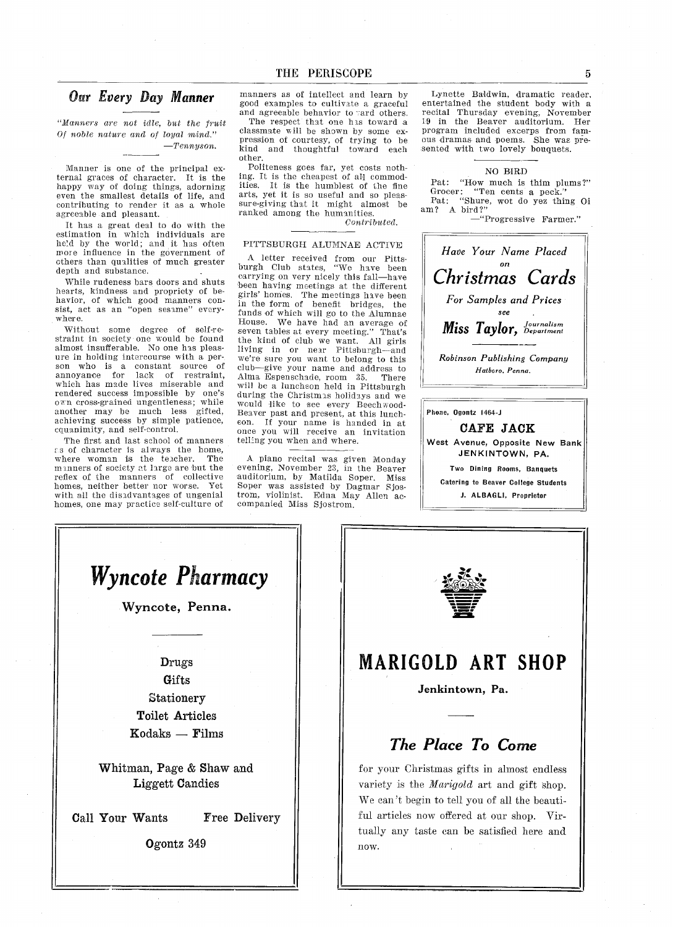# Our Every Day Manner

"Manners are not idle, but the fruit Of noble nature and of loyal mind  $-Tennyson.$ 

Manner is one of the principal external graces of character. It is the happy way of doing things, adorning even the smallest details of life, and contributing to render it as a whole agreeable and pleasant

It has great deal to do with the estimation in which individuals are held by the world; and it has often more influence in the government of others than qualities of much greater depth and substance

While rudeness bars doors and shuts hearts, kindness and propriety of behavior, of which good manners consist, act as an "open sesame" everywhere.

Without some degree of self-re straint in society one would be found almost insufferable. No one has pleasure in holding intercourse with a person who is constant source of annoyance for lack of restraint which has made lives miserable and rendered success impossible by one's own cross-grained ungentleness; while another may be much less gifted achieving success by simple patience equanimity, and self-control.

The first and last school of manners  $\varepsilon$ s of character is always the home where woman is the teacher. The manners of society at large are but the reflex of the manners of collective homes, neither better nor worse. Yet with all the disadvantages of ungenial homes, one may practice self-culture of

manners as of intellect and learn by good examples to cultivate graceful and agreeable behavior to vard others.

The respect that one has toward a classmate will be shown by some expression of courtesy, of trying to be kind and thoughtful toward each other

Politeness goes far, yet costs nothing. It is the cheapest of all commodities. It is the humblest of the fine arts, yet it is so useful and so pleassure-giving that it might almost be ranked among the humanities

Contributed

#### PITTSBURGH ALUMNAE ACTIVE

letter received from our Pitts burgh Club states, "We have been carrying on very nicely this fall—have been having meetings at the different girls' homes. The meetings have been in the form of benefit bridges, the<br>funds of which will go to the Alumnae House. We have had an average of seven tables at every meeting." That's the kind of club we want All girls living in or near Pittsburgh-and we're sure you want to belong to this club-give your name and address to Alma Espenschade, room 35. There will be a luncheon held in Pittsburgh during the Christmas holidays and we would like to see every Beechwood Beaver past and present, at this luncheon If your name is handed in at once you will receive an invitation telling you when and where

piano recital was given Monday evening, November 23, in the Beaver auditorium, by Matilda Soper. Mis Soper was assisted by Dagmar Sjos trom, violinist. Edna May Allen accompanied Miss Sjostrom

Lynette Baldwin, dramatic reader, entertained the student body with recital Thursday evening, November 19 in the Beaver auditorium. Her program included excerps from fam ous dramas and poems. She was presented with two lovely bouquets

#### NO BIRD

Pat: "How much is thim plums?"<br>Grocer: "Ten cents a peck."<br>Pat: "Shure, wot do yez thing O rat: "Snur<br>am? A bird?"

-"Progressive Farmer."



Phone, Ogontz 1464-J

CAFE JACK West Avenue, Opposite New Bank JENKINTOWN, PA. Two Dining Rooms, Banquets Catering to Beaver College Students J. ALBAGLI, Proprietor